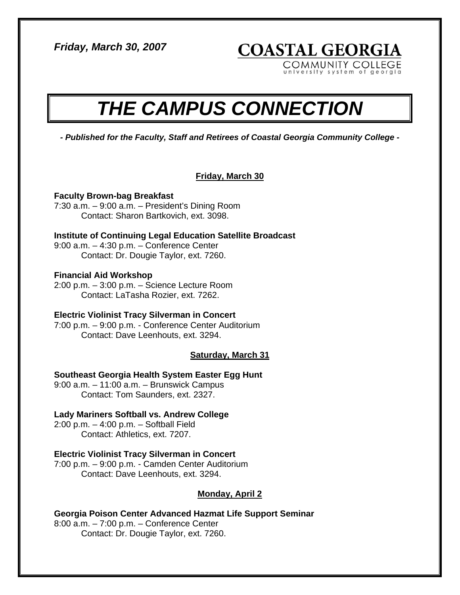*Friday, March 30, 2007* 

**COASTAL GEORGIA** COMMUNITY COLLEGE

system of georgia

# *THE CAMPUS CONNECTION*

*- Published for the Faculty, Staff and Retirees of Coastal Georgia Community College -* 

## **Friday, March 30**

**Faculty Brown-bag Breakfast**  7:30 a.m. – 9:00 a.m. – President's Dining Room Contact: Sharon Bartkovich, ext. 3098.

**Institute of Continuing Legal Education Satellite Broadcast**  9:00 a.m. – 4:30 p.m. – Conference Center Contact: Dr. Dougie Taylor, ext. 7260.

## **Financial Aid Workshop**

2:00 p.m. – 3:00 p.m. – Science Lecture Room Contact: LaTasha Rozier, ext. 7262.

## **Electric Violinist Tracy Silverman in Concert**

7:00 p.m. – 9:00 p.m. - Conference Center Auditorium Contact: Dave Leenhouts, ext. 3294.

**Saturday, March 31**

## **Southeast Georgia Health System Easter Egg Hunt**

9:00 a.m. – 11:00 a.m. – Brunswick Campus Contact: Tom Saunders, ext. 2327.

## **Lady Mariners Softball vs. Andrew College**

2:00 p.m. – 4:00 p.m. – Softball Field Contact: Athletics, ext. 7207.

## **Electric Violinist Tracy Silverman in Concert**

7:00 p.m. – 9:00 p.m. - Camden Center Auditorium Contact: Dave Leenhouts, ext. 3294.

## **Monday, April 2**

**Georgia Poison Center Advanced Hazmat Life Support Seminar**  8:00 a.m. – 7:00 p.m. – Conference Center Contact: Dr. Dougie Taylor, ext. 7260.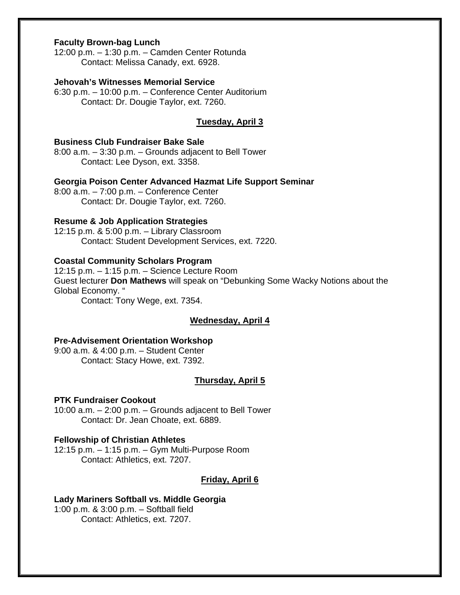## **Faculty Brown-bag Lunch**

12:00 p.m. – 1:30 p.m. – Camden Center Rotunda Contact: Melissa Canady, ext. 6928.

#### **Jehovah's Witnesses Memorial Service**

6:30 p.m. – 10:00 p.m. – Conference Center Auditorium Contact: Dr. Dougie Taylor, ext. 7260.

#### **Tuesday, April 3**

## **Business Club Fundraiser Bake Sale**

8:00 a.m. – 3:30 p.m. – Grounds adjacent to Bell Tower Contact: Lee Dyson, ext. 3358.

## **Georgia Poison Center Advanced Hazmat Life Support Seminar**

8:00 a.m. – 7:00 p.m. – Conference Center Contact: Dr. Dougie Taylor, ext. 7260.

## **Resume & Job Application Strategies**

12:15 p.m. & 5:00 p.m. – Library Classroom Contact: Student Development Services, ext. 7220.

#### **Coastal Community Scholars Program**

12:15 p.m. – 1:15 p.m. – Science Lecture Room Guest lecturer **Don Mathews** will speak on "Debunking Some Wacky Notions about the Global Economy. "

Contact: Tony Wege, ext. 7354.

## **Wednesday, April 4**

#### **Pre-Advisement Orientation Workshop**

9:00 a.m. & 4:00 p.m. – Student Center Contact: Stacy Howe, ext. 7392.

## **Thursday, April 5**

## **PTK Fundraiser Cookout**

10:00 a.m. – 2:00 p.m. – Grounds adjacent to Bell Tower Contact: Dr. Jean Choate, ext. 6889.

#### **Fellowship of Christian Athletes**

12:15 p.m. – 1:15 p.m. – Gym Multi-Purpose Room Contact: Athletics, ext. 7207.

## **Friday, April 6**

#### **Lady Mariners Softball vs. Middle Georgia**

1:00 p.m. & 3:00 p.m. – Softball field Contact: Athletics, ext. 7207.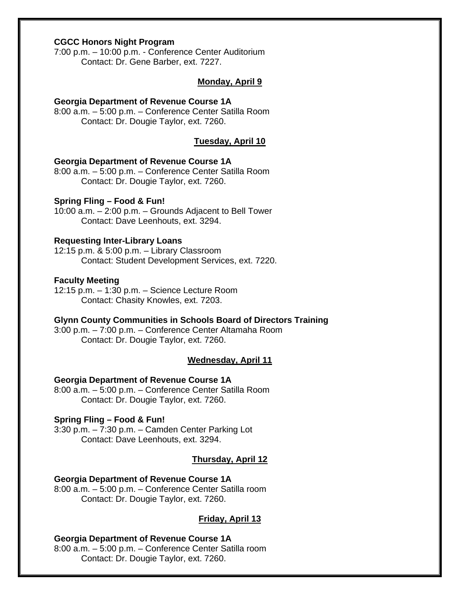## **CGCC Honors Night Program**

7:00 p.m. – 10:00 p.m. - Conference Center Auditorium Contact: Dr. Gene Barber, ext. 7227.

#### **Monday, April 9**

#### **Georgia Department of Revenue Course 1A**

8:00 a.m. – 5:00 p.m. – Conference Center Satilla Room Contact: Dr. Dougie Taylor, ext. 7260.

## **Tuesday, April 10**

#### **Georgia Department of Revenue Course 1A**

8:00 a.m. – 5:00 p.m. – Conference Center Satilla Room Contact: Dr. Dougie Taylor, ext. 7260.

#### **Spring Fling – Food & Fun!**

10:00 a.m. – 2:00 p.m. – Grounds Adjacent to Bell Tower Contact: Dave Leenhouts, ext. 3294.

#### **Requesting Inter-Library Loans**

12:15 p.m. & 5:00 p.m. – Library Classroom Contact: Student Development Services, ext. 7220.

#### **Faculty Meeting**

12:15 p.m. – 1:30 p.m. – Science Lecture Room Contact: Chasity Knowles, ext. 7203.

#### **Glynn County Communities in Schools Board of Directors Training**

3:00 p.m. – 7:00 p.m. – Conference Center Altamaha Room Contact: Dr. Dougie Taylor, ext. 7260.

#### **Wednesday, April 11**

## **Georgia Department of Revenue Course 1A**

8:00 a.m. – 5:00 p.m. – Conference Center Satilla Room Contact: Dr. Dougie Taylor, ext. 7260.

## **Spring Fling – Food & Fun!**

3:30 p.m. – 7:30 p.m. – Camden Center Parking Lot Contact: Dave Leenhouts, ext. 3294.

#### **Thursday, April 12**

## **Georgia Department of Revenue Course 1A**

8:00 a.m. – 5:00 p.m. – Conference Center Satilla room Contact: Dr. Dougie Taylor, ext. 7260.

#### **Friday, April 13**

## **Georgia Department of Revenue Course 1A**

8:00 a.m. – 5:00 p.m. – Conference Center Satilla room Contact: Dr. Dougie Taylor, ext. 7260.